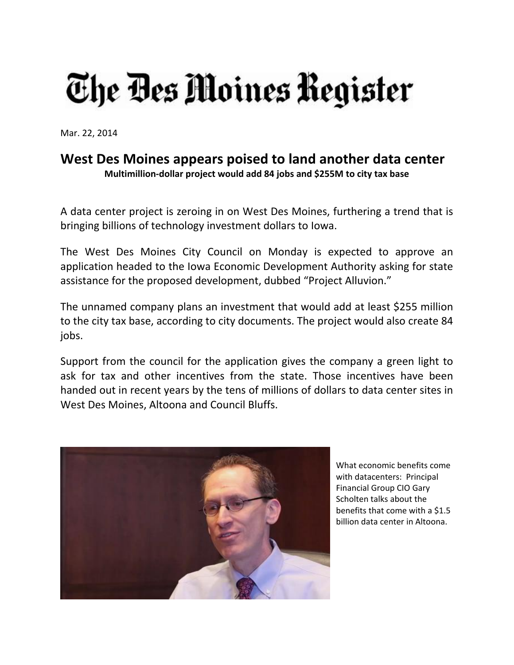## The Bes Moines Register

Mar. 22, 2014

## **West Des Moines appears poised to land another data center Multimillion‐dollar project would add 84 jobs and \$255M to city tax base**

A data center project is zeroing in on West Des Moines, furthering a trend that is bringing billions of technology investment dollars to Iowa.

The West Des Moines City Council on Monday is expected to approve an application headed to the Iowa Economic Development Authority asking for state assistance for the proposed development, dubbed "Project Alluvion."

The unnamed company plans an investment that would add at least \$255 million to the city tax base, according to city documents. The project would also create 84 jobs.

Support from the council for the application gives the company a green light to ask for tax and other incentives from the state. Those incentives have been handed out in recent years by the tens of millions of dollars to data center sites in West Des Moines, Altoona and Council Bluffs.



What economic benefits come with datacenters: Principal Financial Group CIO Gary Scholten talks about the benefits that come with a \$1.5 billion data center in Altoona.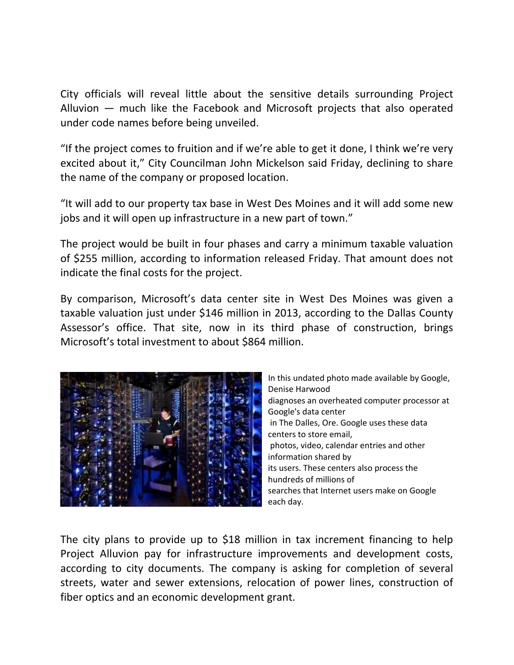City officials will reveal little about the sensitive details surrounding Project Alluvion — much like the Facebook and Microsoft projects that also operated under code names before being unveiled.

"If the project comes to fruition and if we're able to get it done, I think we're very excited about it," City Councilman John Mickelson said Friday, declining to share the name of the company or proposed location.

"It will add to our property tax base in West Des Moines and it will add some new jobs and it will open up infrastructure in a new part of town."

The project would be built in four phases and carry a minimum taxable valuation of \$255 million, according to information released Friday. That amount does not indicate the final costs for the project.

By comparison, Microsoft's data center site in West Des Moines was given a taxable valuation just under \$146 million in 2013, according to the Dallas County Assessor's office. That site, now in its third phase of construction, brings Microsoft's total investment to about \$864 million.



In this undated photo made available by Google, Denise Harwood diagnoses an overheated computer processor at Google's data center in The Dalles, Ore. Google uses these data centers to store email, photos, video, calendar entries and other information shared by its users. These centers also process the hundreds of millions of searches that Internet users make on Google each day.

The city plans to provide up to \$18 million in tax increment financing to help Project Alluvion pay for infrastructure improvements and development costs, according to city documents. The company is asking for completion of several streets, water and sewer extensions, relocation of power lines, construction of fiber optics and an economic development grant.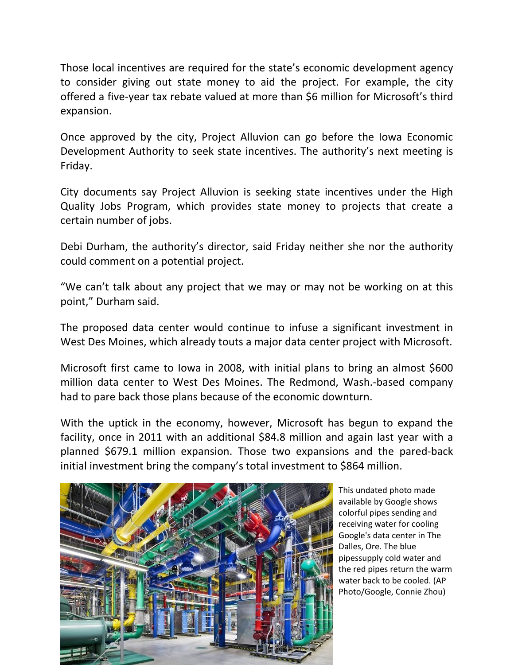Those local incentives are required for the state's economic development agency to consider giving out state money to aid the project. For example, the city offered a five‐year tax rebate valued at more than \$6 million for Microsoft's third expansion.

Once approved by the city, Project Alluvion can go before the Iowa Economic Development Authority to seek state incentives. The authority's next meeting is Friday.

City documents say Project Alluvion is seeking state incentives under the High Quality Jobs Program, which provides state money to projects that create a certain number of jobs.

Debi Durham, the authority's director, said Friday neither she nor the authority could comment on a potential project.

"We can't talk about any project that we may or may not be working on at this point," Durham said.

The proposed data center would continue to infuse a significant investment in West Des Moines, which already touts a major data center project with Microsoft.

Microsoft first came to Iowa in 2008, with initial plans to bring an almost \$600 million data center to West Des Moines. The Redmond, Wash.‐based company had to pare back those plans because of the economic downturn.

With the uptick in the economy, however, Microsoft has begun to expand the facility, once in 2011 with an additional \$84.8 million and again last year with a planned \$679.1 million expansion. Those two expansions and the pared‐back initial investment bring the company's total investment to \$864 million.



This undated photo made available by Google shows colorful pipes sending and receiving water for cooling Google's data center in The Dalles, Ore. The blue pipessupply cold water and the red pipes return the warm water back to be cooled. (AP Photo/Google, Connie Zhou)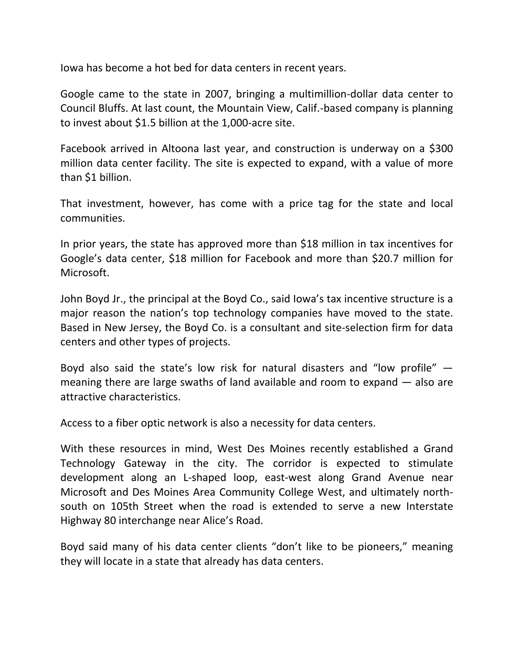Iowa has become a hot bed for data centers in recent years.

Google came to the state in 2007, bringing a multimillion‐dollar data center to Council Bluffs. At last count, the Mountain View, Calif.‐based company is planning to invest about \$1.5 billion at the 1,000‐acre site.

Facebook arrived in Altoona last year, and construction is underway on a \$300 million data center facility. The site is expected to expand, with a value of more than \$1 billion.

That investment, however, has come with a price tag for the state and local communities.

In prior years, the state has approved more than \$18 million in tax incentives for Google's data center, \$18 million for Facebook and more than \$20.7 million for Microsoft.

John Boyd Jr., the principal at the Boyd Co., said Iowa's tax incentive structure is a major reason the nation's top technology companies have moved to the state. Based in New Jersey, the Boyd Co. is a consultant and site‐selection firm for data centers and other types of projects.

Boyd also said the state's low risk for natural disasters and "low profile"  $$ meaning there are large swaths of land available and room to expand — also are attractive characteristics.

Access to a fiber optic network is also a necessity for data centers.

With these resources in mind, West Des Moines recently established a Grand Technology Gateway in the city. The corridor is expected to stimulate development along an L‐shaped loop, east‐west along Grand Avenue near Microsoft and Des Moines Area Community College West, and ultimately north‐ south on 105th Street when the road is extended to serve a new Interstate Highway 80 interchange near Alice's Road.

Boyd said many of his data center clients "don't like to be pioneers," meaning they will locate in a state that already has data centers.